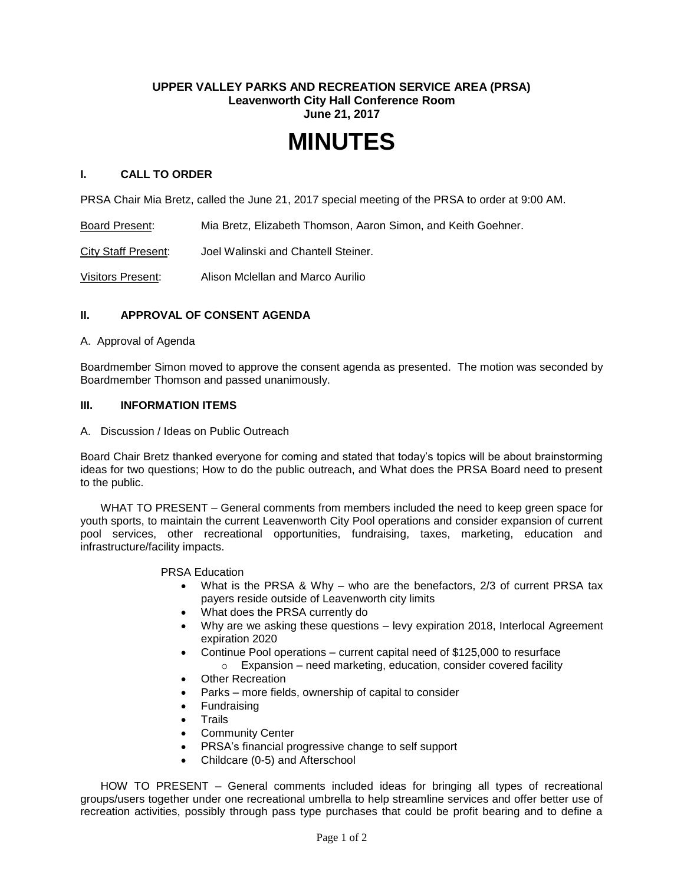## **UPPER VALLEY PARKS AND RECREATION SERVICE AREA (PRSA) Leavenworth City Hall Conference Room June 21, 2017**

# **MINUTES**

## **I. CALL TO ORDER**

PRSA Chair Mia Bretz, called the June 21, 2017 special meeting of the PRSA to order at 9:00 AM.

Board Present: Mia Bretz, Elizabeth Thomson, Aaron Simon, and Keith Goehner.

City Staff Present: Joel Walinski and Chantell Steiner.

Visitors Present: Alison Mclellan and Marco Aurilio

## **II. APPROVAL OF CONSENT AGENDA**

#### A. Approval of Agenda

Boardmember Simon moved to approve the consent agenda as presented. The motion was seconded by Boardmember Thomson and passed unanimously.

## **III. INFORMATION ITEMS**

A. Discussion / Ideas on Public Outreach

Board Chair Bretz thanked everyone for coming and stated that today's topics will be about brainstorming ideas for two questions; How to do the public outreach, and What does the PRSA Board need to present to the public.

WHAT TO PRESENT – General comments from members included the need to keep green space for youth sports, to maintain the current Leavenworth City Pool operations and consider expansion of current pool services, other recreational opportunities, fundraising, taxes, marketing, education and infrastructure/facility impacts.

PRSA Education

- What is the PRSA & Why who are the benefactors, 2/3 of current PRSA tax payers reside outside of Leavenworth city limits
- What does the PRSA currently do
- Why are we asking these questions levy expiration 2018, Interlocal Agreement expiration 2020
- Continue Pool operations current capital need of \$125,000 to resurface
	- $\circ$  Expansion need marketing, education, consider covered facility
- Other Recreation
- Parks more fields, ownership of capital to consider
- Fundraising
- **Trails**
- Community Center
- PRSA's financial progressive change to self support
- Childcare (0-5) and Afterschool

HOW TO PRESENT – General comments included ideas for bringing all types of recreational groups/users together under one recreational umbrella to help streamline services and offer better use of recreation activities, possibly through pass type purchases that could be profit bearing and to define a